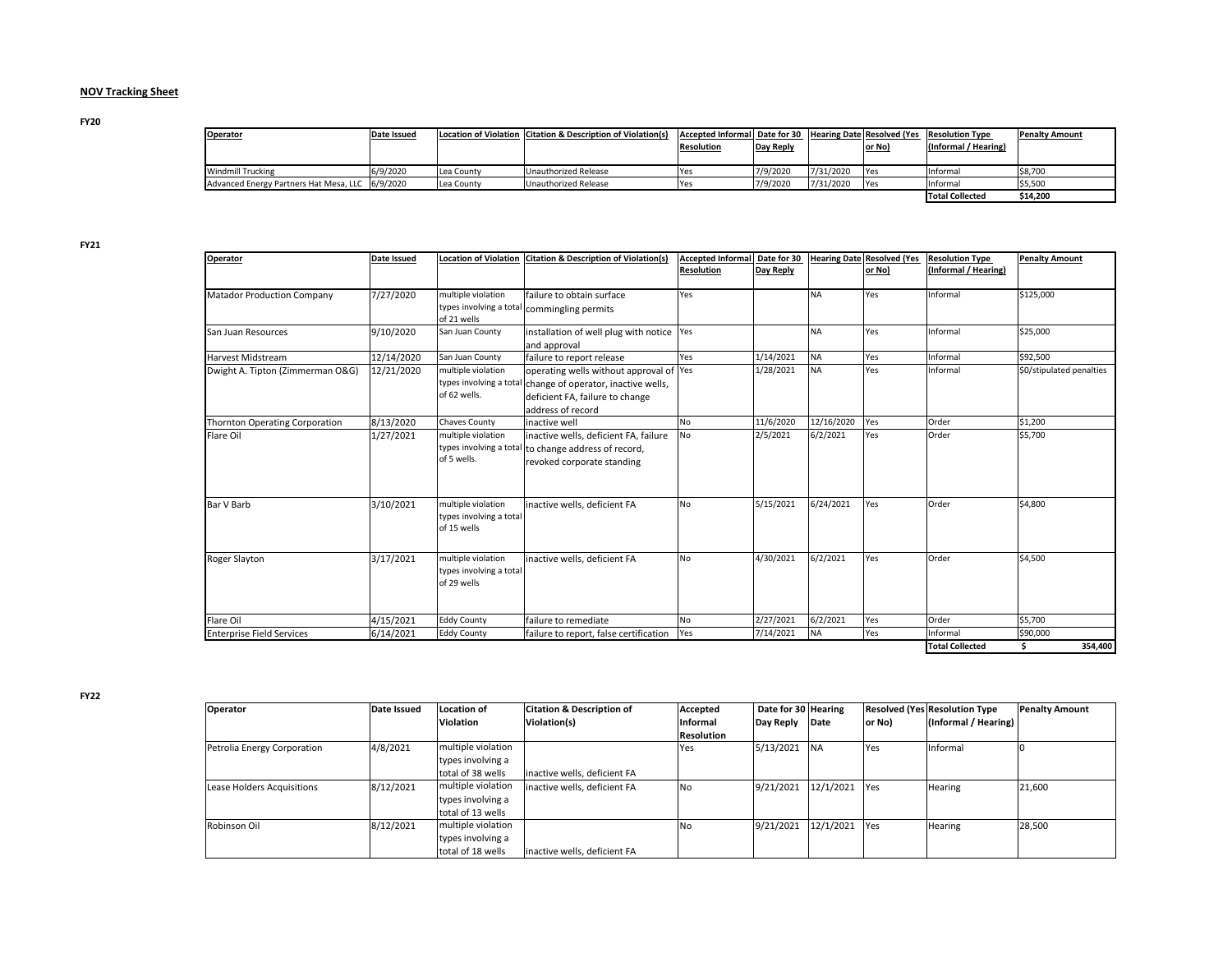## **NOV Tracking Sheet**

**FY20**

| <b>Operator</b>                                   | Date Issued |            | Location of Violation   Citation & Description of Violation(s) | Accepted Informal   Date for 30<br><b>Resolution</b> | Day Reply |           | Hearing Date Resolved (Yes<br><u>or No)</u> | <b>Resolution Type</b><br>(Informal / Hearing) | <b>Penalty Amount</b> |
|---------------------------------------------------|-------------|------------|----------------------------------------------------------------|------------------------------------------------------|-----------|-----------|---------------------------------------------|------------------------------------------------|-----------------------|
| <b>Windmill Trucking</b>                          | 6/9/2020    | Lea County | Unauthorized Release                                           | Yes                                                  | 7/9/2020  | 7/31/2020 | <b>P</b> Yes                                | <b>Informal</b>                                | \$8,700               |
| Advanced Energy Partners Hat Mesa, LLC   6/9/2020 |             | Lea County | Unauthorized Release                                           | Yes                                                  | 7/9/2020  | 7/31/2020 | <b>Paragona</b>                             | <b>Informal</b>                                | \$5,500               |
|                                                   |             |            |                                                                |                                                      |           |           |                                             | <b>Total Collected</b>                         | \$14,200              |

**FY21**

| <b>Operator</b>                   | Date Issued | <b>Location of Violation</b> | <b>Citation &amp; Description of Violation(s)</b>    | <b>Accepted Informal</b> | Date for 30 | <b>Hearing Date</b> | <b>Resolved (Yes</b> | <b>Resolution Type</b> | <b>Penalty Amount</b>    |
|-----------------------------------|-------------|------------------------------|------------------------------------------------------|--------------------------|-------------|---------------------|----------------------|------------------------|--------------------------|
|                                   |             |                              |                                                      | <b>Resolution</b>        | Day Reply   |                     | or No)               | (Informal / Hearing)   |                          |
|                                   |             |                              |                                                      |                          |             |                     |                      |                        |                          |
| <b>Matador Production Company</b> | 7/27/2020   | multiple violation           | failure to obtain surface                            | Yes                      |             | <b>NA</b>           | Yes                  | Informal               | \$125,000                |
|                                   |             |                              | types involving a total commingling permits          |                          |             |                     |                      |                        |                          |
|                                   |             | of 21 wells                  |                                                      |                          |             |                     |                      |                        |                          |
| San Juan Resources                | 9/10/2020   | San Juan County              | installation of well plug with notice   Yes          |                          |             | <b>NA</b>           | Yes                  | Informal               | \$25,000                 |
|                                   |             |                              | and approval                                         |                          |             |                     |                      |                        |                          |
| <b>Harvest Midstream</b>          | 12/14/2020  | San Juan County              | failure to report release                            | Yes                      | 1/14/2021   | <b>NA</b>           | Yes                  | Informal               | \$92,500                 |
| Dwight A. Tipton (Zimmerman O&G)  | 12/21/2020  | multiple violation           | operating wells without approval of Yes              |                          | 1/28/2021   | <b>NA</b>           | Yes                  | Informal               | \$0/stipulated penalties |
|                                   |             | types involving a total      | change of operator, inactive wells,                  |                          |             |                     |                      |                        |                          |
|                                   |             | of 62 wells.                 | deficient FA, failure to change                      |                          |             |                     |                      |                        |                          |
|                                   |             |                              | address of record                                    |                          |             |                     |                      |                        |                          |
| Thornton Operating Corporation    | 8/13/2020   | <b>Chaves County</b>         | inactive well                                        | No                       | 11/6/2020   | 12/16/2020          | Yes                  | Order                  | \$1,200                  |
| Flare Oil                         | 1/27/2021   | multiple violation           | inactive wells, deficient FA, failure                | No                       | 2/5/2021    | 6/2/2021            | Yes                  | Order                  | \$5,700                  |
|                                   |             |                              | types involving a total to change address of record, |                          |             |                     |                      |                        |                          |
|                                   |             | of 5 wells.                  | revoked corporate standing                           |                          |             |                     |                      |                        |                          |
|                                   |             |                              |                                                      |                          |             |                     |                      |                        |                          |
|                                   |             |                              |                                                      |                          |             |                     |                      |                        |                          |
| <b>Bar V Barb</b>                 | 3/10/2021   | multiple violation           | inactive wells, deficient FA                         | No                       | 5/15/2021   | 6/24/2021           | Yes                  | Order                  | \$4,800                  |
|                                   |             | types involving a total      |                                                      |                          |             |                     |                      |                        |                          |
|                                   |             | of 15 wells                  |                                                      |                          |             |                     |                      |                        |                          |
|                                   |             |                              |                                                      |                          |             |                     |                      |                        |                          |
|                                   |             |                              |                                                      |                          |             |                     |                      |                        |                          |
| <b>Roger Slayton</b>              | 3/17/2021   | multiple violation           | inactive wells, deficient FA                         | No                       | 4/30/2021   | 6/2/2021            | Yes                  | Order                  | \$4,500                  |
|                                   |             | types involving a total      |                                                      |                          |             |                     |                      |                        |                          |
|                                   |             | of 29 wells                  |                                                      |                          |             |                     |                      |                        |                          |
|                                   |             |                              |                                                      |                          |             |                     |                      |                        |                          |
| Flare Oil                         | 4/15/2021   | <b>Eddy County</b>           | failure to remediate                                 | No                       | 2/27/2021   | 6/2/2021            | Yes                  | Order                  | \$5,700                  |
| <b>Enterprise Field Services</b>  | 6/14/2021   | <b>Eddy County</b>           | failure to report, false certification               | Yes                      | 7/14/2021   | <b>NA</b>           | Yes                  | Informal               | \$90,000                 |
|                                   |             |                              |                                                      |                          |             |                     |                      | <b>Total Collected</b> | \$<br>354,400            |

**FY22**

| Operator                    | <b>Date Issued</b> | Location of        | <b>Citation &amp; Description of</b> | Accepted          | Date for 30 Hearing |           |            | <b>Resolved (Yes Resolution Type</b> | <b>Penalty Amount</b> |
|-----------------------------|--------------------|--------------------|--------------------------------------|-------------------|---------------------|-----------|------------|--------------------------------------|-----------------------|
|                             |                    | <b>Violation</b>   | Violation(s)                         | Informal          | Day Reply           | Date      | or No)     | (Informal / Hearing)                 |                       |
|                             |                    |                    |                                      | <b>Resolution</b> |                     |           |            |                                      |                       |
| Petrolia Energy Corporation | 4/8/2021           | multiple violation |                                      | Yes               | 5/13/2021           | <b>NA</b> | <b>Yes</b> | Informal                             |                       |
|                             |                    | types involving a  |                                      |                   |                     |           |            |                                      |                       |
|                             |                    | total of 38 wells  | inactive wells, deficient FA         |                   |                     |           |            |                                      |                       |
| Lease Holders Acquisitions  | 8/12/2021          | multiple violation | inactive wells, deficient FA         | No                | 9/21/2021           | 12/1/2021 | <b>Yes</b> | <b>Hearing</b>                       | 21,600                |
|                             |                    | types involving a  |                                      |                   |                     |           |            |                                      |                       |
|                             |                    | total of 13 wells  |                                      |                   |                     |           |            |                                      |                       |
| Robinson Oil                | 8/12/2021          | multiple violation |                                      | No                | 9/21/2021           | 12/1/2021 | <b>Yes</b> | <b>Hearing</b>                       | 28,500                |
|                             |                    | types involving a  |                                      |                   |                     |           |            |                                      |                       |
|                             |                    | total of 18 wells  | inactive wells, deficient FA         |                   |                     |           |            |                                      |                       |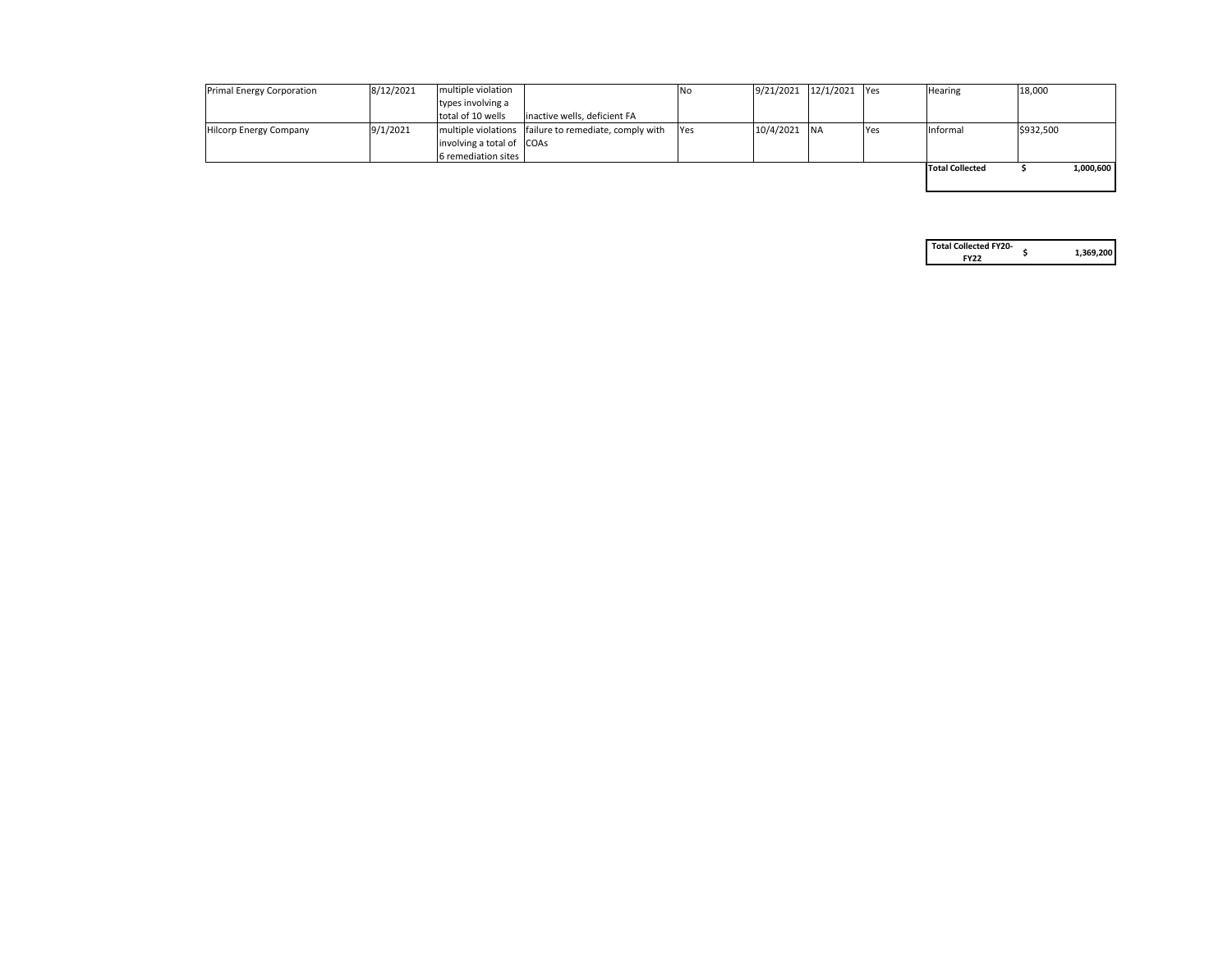| <b>Primal Energy Corporation</b> | 8/12/2021 | multiple violation                |                                                         | INo.       |                | $9/21/2021$ $12/1/2021$ Yes |            | <b>Hearing</b>         | 18,000    |           |
|----------------------------------|-----------|-----------------------------------|---------------------------------------------------------|------------|----------------|-----------------------------|------------|------------------------|-----------|-----------|
|                                  |           | types involving a                 |                                                         |            |                |                             |            |                        |           |           |
|                                  |           | total of 10 wells                 | inactive wells, deficient FA                            |            |                |                             |            |                        |           |           |
| Hilcorp Energy Company           | 9/1/2021  |                                   | multiple violations   failure to remediate, comply with | <b>Yes</b> | $10/4/2021$ NA |                             | <b>Yes</b> | <b>Informal</b>        | \$932,500 |           |
|                                  |           | $ $ involving a total of $ COAs $ |                                                         |            |                |                             |            |                        |           |           |
|                                  |           | 6 remediation sites               |                                                         |            |                |                             |            |                        |           |           |
|                                  |           |                                   |                                                         |            |                |                             |            | <b>Total Collected</b> |           | 1,000,600 |
|                                  |           |                                   |                                                         |            |                |                             |            |                        |           |           |

| <b>Total Collected FY20-</b> |           |
|------------------------------|-----------|
| FY <sub>22</sub>             | 1,369,200 |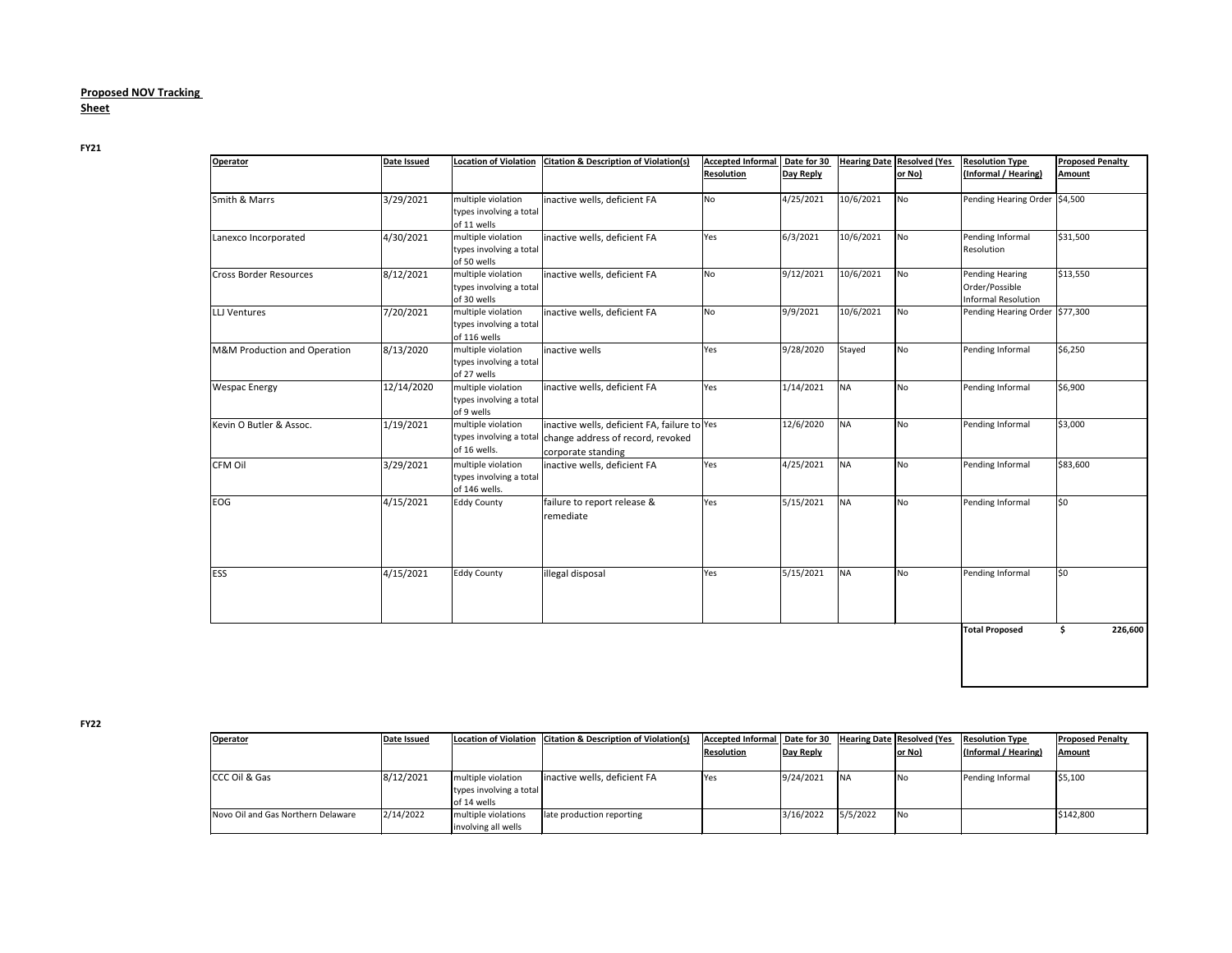## **Proposed NOV Tracking Sheet**

**FY21**

| Operator                      | Date Issued | <b>Location of Violation</b>                                   | <b>Citation &amp; Description of Violation(s)</b>                                                       | <b>Accepted Informal</b><br><b>Resolution</b> | Date for 30<br>Day Reply |           | <b>Hearing Date Resolved (Yes</b><br>or No) | <b>Resolution Type</b><br>(Informal / Hearing)                         | <b>Proposed Penalty</b><br><b>Amount</b> |
|-------------------------------|-------------|----------------------------------------------------------------|---------------------------------------------------------------------------------------------------------|-----------------------------------------------|--------------------------|-----------|---------------------------------------------|------------------------------------------------------------------------|------------------------------------------|
|                               |             |                                                                |                                                                                                         |                                               |                          |           |                                             |                                                                        |                                          |
| Smith & Marrs                 | 3/29/2021   | multiple violation<br>types involving a total<br>of 11 wells   | inactive wells, deficient FA                                                                            | No                                            | 4/25/2021                | 10/6/2021 | No                                          | Pending Hearing Order 54,500                                           |                                          |
| Lanexco Incorporated          | 4/30/2021   | multiple violation<br>types involving a total<br>of 50 wells   | inactive wells, deficient FA                                                                            | Yes                                           | 6/3/2021                 | 10/6/2021 | <b>No</b>                                   | Pending Informal<br>Resolution                                         | \$31,500                                 |
| <b>Cross Border Resources</b> | 8/12/2021   | multiple violation<br>types involving a total<br>of 30 wells   | inactive wells, deficient FA                                                                            | <b>No</b>                                     | 9/12/2021                | 10/6/2021 | No                                          | <b>Pending Hearing</b><br>Order/Possible<br><b>Informal Resolution</b> | \$13,550                                 |
| <b>LLJ Ventures</b>           | 7/20/2021   | multiple violation<br>types involving a total<br>of 116 wells  | inactive wells, deficient FA                                                                            | No                                            | 9/9/2021                 | 10/6/2021 | No                                          | Pending Hearing Order \$77,300                                         |                                          |
| M&M Production and Operation  | 8/13/2020   | multiple violation<br>types involving a total<br>of 27 wells   | inactive wells                                                                                          | Yes                                           | 9/28/2020                | Stayed    | No                                          | Pending Informal                                                       | \$6,250                                  |
| <b>Wespac Energy</b>          | 12/14/2020  | multiple violation<br>types involving a total<br>of 9 wells    | inactive wells, deficient FA                                                                            | Yes                                           | 1/14/2021                | <b>NA</b> | No                                          | Pending Informal                                                       | \$6,900                                  |
| Kevin O Butler & Assoc.       | 1/19/2021   | multiple violation<br>types involving a total<br>of 16 wells.  | inactive wells, deficient FA, failure to Yes<br>change address of record, revoked<br>corporate standing |                                               | 12/6/2020                | <b>NA</b> | No                                          | Pending Informal                                                       | \$3,000                                  |
| <b>CFM Oil</b>                | 3/29/2021   | multiple violation<br>types involving a total<br>of 146 wells. | inactive wells, deficient FA                                                                            | Yes                                           | 4/25/2021                | <b>NA</b> | No                                          | Pending Informal                                                       | \$83,600                                 |
| EOG                           | 4/15/2021   | <b>Eddy County</b>                                             | failure to report release &<br>remediate                                                                | Yes                                           | 5/15/2021                | <b>NA</b> | No                                          | Pending Informal                                                       | \$0                                      |
| <b>IESS</b>                   | 4/15/2021   | <b>Eddy County</b>                                             | illegal disposal                                                                                        | Yes                                           | 5/15/2021                | <b>NA</b> | No                                          | Pending Informal                                                       | l\$0                                     |
|                               |             |                                                                |                                                                                                         |                                               |                          |           |                                             | <b>Total Proposed</b>                                                  | 226,600<br>\$                            |

**FY22**

| <b>Operator</b>                    | Date Issued |                         | Location of Violation   Citation & Description of Violation(s) | Accepted Informal   Date for 30 |                  |          | Hearing Date Resolved (Yes | <b>Resolution Type</b> | <b>Proposed Penalty</b> |
|------------------------------------|-------------|-------------------------|----------------------------------------------------------------|---------------------------------|------------------|----------|----------------------------|------------------------|-------------------------|
|                                    |             |                         |                                                                | <b>Resolution</b>               | <b>Day Reply</b> |          | or No)                     | (Informal / Hearing)   | <b>Amount</b>           |
| <b>CCC Oil &amp; Gas</b>           | 8/12/2021   | multiple violation      | inactive wells, deficient FA                                   | <b>Yes</b>                      | 9/24/2021        | NA       | INo                        | Pending Informal       | \$5,100                 |
|                                    |             | types involving a total |                                                                |                                 |                  |          |                            |                        |                         |
|                                    |             | of 14 wells             |                                                                |                                 |                  |          |                            |                        |                         |
| Novo Oil and Gas Northern Delaware | 2/14/2022   | multiple violations     | late production reporting                                      |                                 | 3/16/2022        | 5/5/2022 | No                         |                        | \$142,800               |
|                                    |             | involving all wells     |                                                                |                                 |                  |          |                            |                        |                         |